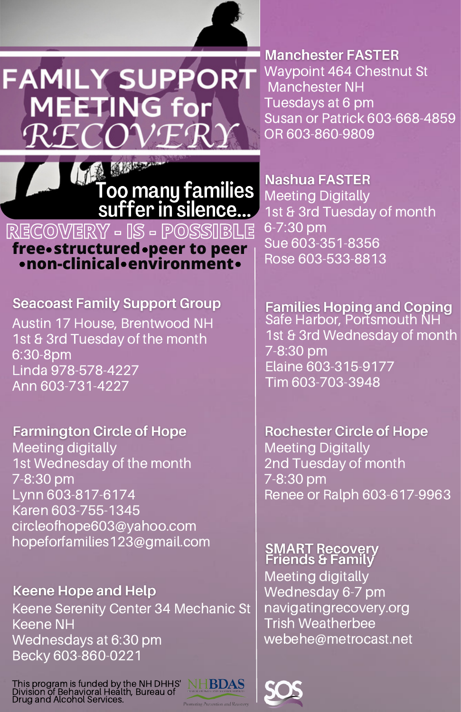

**Manchester FASTER** Waypoint 464 Chestnut St Manchester NH Tuesdays at 6 pm Susan or Patrick 603-668-4859 OR 603-860-9809

Too many families<br>suffer in silence...

## **free structured peer to peer non-clinical environment RECOVERY - IS - POSSIBLE**

**FAMILY SUPPORT** 

**MEETING for** 

**Seacoast Family Support Group** Austin 17 House, Brentwood NH 1st & 3rd Tuesday of the month 6:30-8pm Linda 978-578-4227

Ann 603-731-4227

**Farmington Circle of Hope** Meeting digitally 1st Wednesday of the month 7-8:30 pm Lynn 603-817-6174 Karen 603-755-1345 circleofhope603@yahoo.com hopeforfamilies123@gmail.com

**Keene Hope and Help** Keene Serenity Center 34 Mechanic St Keene NH Wednesdays at 6:30 pm Becky 603-860-0221

This program is funded by the NH DHHS' Division of Behavioral Health, Bureau of Drug and Alcohol Services.



Nashua FASTER Meeting Digitally 1st & 3rd Tuesday of month 6-7:30 pm Sue 603-351-8356 Rose 603-533-8813

Families Hoping and Coping<br>Safe Harbor, Portsmouth NH 1st & 3rd Wednesday of month 7-8:30 pm Elaine 603-315-9177 Tim 603-703-3948

**Rochester Circle of Hope** Meeting Digitally 2nd Tuesday of month 7-8:30 pm Renee or Ralph 603-617-9963

**SMART Recovery<br>Friends & Family** Meeting digitally Wednesday 6-7 pm navigatingrecovery.org Trish Weatherbee webehe@metrocast.net